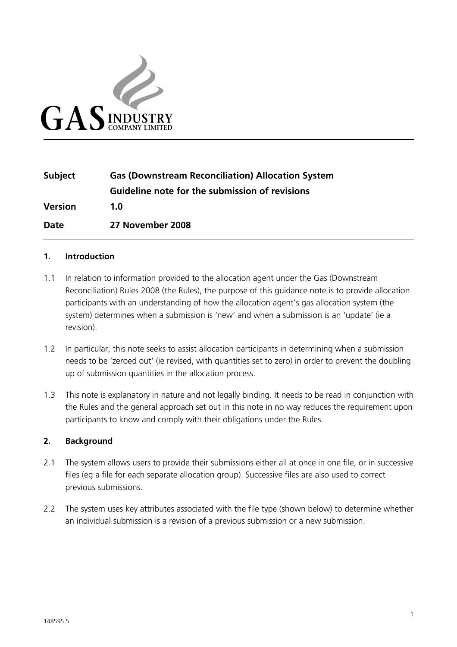

| <b>Subject</b> | <b>Gas (Downstream Reconciliation) Allocation System</b> |
|----------------|----------------------------------------------------------|
|                | Guideline note for the submission of revisions           |
| <b>Version</b> | 1.0                                                      |
| Date           | 27 November 2008                                         |

### **1. Introduction**

- 1.1 In relation to information provided to the allocation agent under the Gas (Downstream Reconciliation) Rules 2008 (the Rules), the purpose of this guidance note is to provide allocation participants with an understanding of how the allocation agent's gas allocation system (the system) determines when a submission is 'new' and when a submission is an 'update' (ie a revision).
- 1.2 In particular, this note seeks to assist allocation participants in determining when a submission needs to be 'zeroed out' (ie revised, with quantities set to zero) in order to prevent the doubling up of submission quantities in the allocation process.
- 1.3 This note is explanatory in nature and not legally binding. It needs to be read in conjunction with the Rules and the general approach set out in this note in no way reduces the requirement upon participants to know and comply with their obligations under the Rules.

#### **2. Background**

- 2.1 The system allows users to provide their submissions either all at once in one file, or in successive files (eg a file for each separate allocation group). Successive files are also used to correct previous submissions.
- 2.2 The system uses key attributes associated with the file type (shown below) to determine whether an individual submission is a revision of a previous submission or a new submission.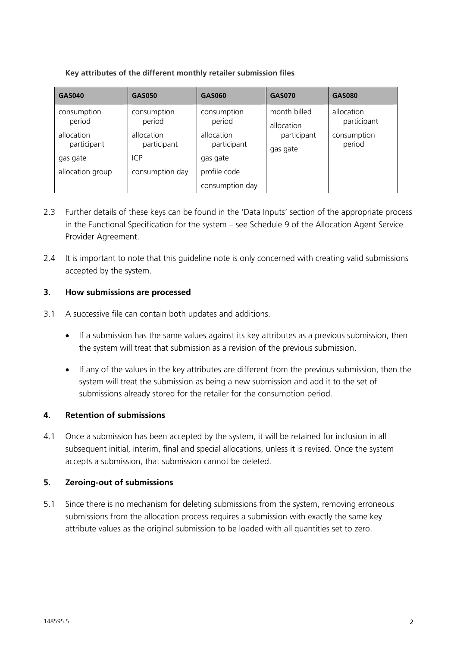**Key attributes of the different monthly retailer submission files** 

| <b>GAS040</b>                                                                      | <b>GAS050</b>                                                                | GAS060                                                                         | <b>GAS070</b>                                         | GAS080                                             |
|------------------------------------------------------------------------------------|------------------------------------------------------------------------------|--------------------------------------------------------------------------------|-------------------------------------------------------|----------------------------------------------------|
| consumption<br>period<br>allocation<br>participant<br>gas gate<br>allocation group | consumption<br>period<br>allocation<br>participant<br>ICP<br>consumption day | consumption<br>period<br>allocation<br>participant<br>gas gate<br>profile code | month billed<br>allocation<br>participant<br>gas gate | allocation<br>participant<br>consumption<br>period |
|                                                                                    |                                                                              | consumption day                                                                |                                                       |                                                    |

- 2.3 Further details of these keys can be found in the 'Data Inputs' section of the appropriate process in the Functional Specification for the system – see Schedule 9 of the Allocation Agent Service Provider Agreement.
- 2.4 It is important to note that this guideline note is only concerned with creating valid submissions accepted by the system.

## **3. How submissions are processed**

- 3.1 A successive file can contain both updates and additions.
	- If a submission has the same values against its key attributes as a previous submission, then the system will treat that submission as a revision of the previous submission.
	- If any of the values in the key attributes are different from the previous submission, then the system will treat the submission as being a new submission and add it to the set of submissions already stored for the retailer for the consumption period.

# **4. Retention of submissions**

4.1 Once a submission has been accepted by the system, it will be retained for inclusion in all subsequent initial, interim, final and special allocations, unless it is revised. Once the system accepts a submission, that submission cannot be deleted.

# **5. Zeroing-out of submissions**

5.1 Since there is no mechanism for deleting submissions from the system, removing erroneous submissions from the allocation process requires a submission with exactly the same key attribute values as the original submission to be loaded with all quantities set to zero.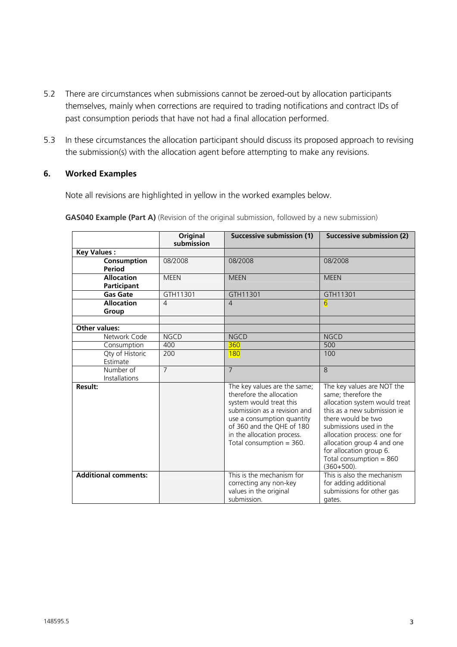- 5.2 There are circumstances when submissions cannot be zeroed-out by allocation participants themselves, mainly when corrections are required to trading notifications and contract IDs of past consumption periods that have not had a final allocation performed.
- 5.3 In these circumstances the allocation participant should discuss its proposed approach to revising the submission(s) with the allocation agent before attempting to make any revisions.

### **6. Worked Examples**

Note all revisions are highlighted in yellow in the worked examples below.

|                                    | Original<br>submission | Successive submission (1)                                                                                                                                                                                                                  | Successive submission (2)                                                                                                                                                                                                                                                                                |
|------------------------------------|------------------------|--------------------------------------------------------------------------------------------------------------------------------------------------------------------------------------------------------------------------------------------|----------------------------------------------------------------------------------------------------------------------------------------------------------------------------------------------------------------------------------------------------------------------------------------------------------|
| <b>Key Values:</b>                 |                        |                                                                                                                                                                                                                                            |                                                                                                                                                                                                                                                                                                          |
| Consumption<br>Period              | 08/2008                | 08/2008                                                                                                                                                                                                                                    | 08/2008                                                                                                                                                                                                                                                                                                  |
| <b>Allocation</b><br>Participant   | <b>MEEN</b>            | <b>MEEN</b>                                                                                                                                                                                                                                | <b>MEEN</b>                                                                                                                                                                                                                                                                                              |
| <b>Gas Gate</b>                    | GTH11301               | GTH11301                                                                                                                                                                                                                                   | GTH11301                                                                                                                                                                                                                                                                                                 |
| <b>Allocation</b><br>Group         | $\overline{4}$         | $\overline{4}$                                                                                                                                                                                                                             | $6 \overline{6}$                                                                                                                                                                                                                                                                                         |
| <b>Other values:</b>               |                        |                                                                                                                                                                                                                                            |                                                                                                                                                                                                                                                                                                          |
| Network Code                       | <b>NGCD</b>            | <b>NGCD</b>                                                                                                                                                                                                                                | <b>NGCD</b>                                                                                                                                                                                                                                                                                              |
| Consumption                        | 400                    | 360                                                                                                                                                                                                                                        | 500                                                                                                                                                                                                                                                                                                      |
| <b>Qty of Historic</b><br>Estimate | 200                    | 180                                                                                                                                                                                                                                        | 100                                                                                                                                                                                                                                                                                                      |
| Number of<br><b>Installations</b>  | $\overline{7}$         | $\overline{7}$                                                                                                                                                                                                                             | $\mathcal{B}$                                                                                                                                                                                                                                                                                            |
| Result:                            |                        | The key values are the same;<br>therefore the allocation<br>system would treat this<br>submission as a revision and<br>use a consumption quantity<br>of 360 and the OHE of 180<br>in the allocation process.<br>Total consumption $=$ 360. | The key values are NOT the<br>same; therefore the<br>allocation system would treat<br>this as a new submission je<br>there would be two<br>submissions used in the<br>allocation process: one for<br>allocation group 4 and one<br>for allocation group 6.<br>Total consumption $= 860$<br>$(360+500)$ . |
| <b>Additional comments:</b>        |                        | This is the mechanism for<br>correcting any non-key<br>values in the original<br>submission.                                                                                                                                               | This is also the mechanism<br>for adding additional<br>submissions for other gas<br>gates.                                                                                                                                                                                                               |

**GAS040 Example (Part A)** (Revision of the original submission, followed by a new submission)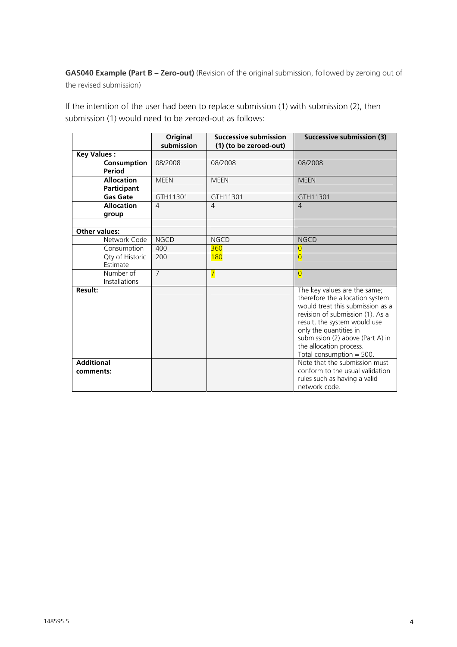**GAS040 Example (Part B – Zero-out)** (Revision of the original submission, followed by zeroing out of the revised submission)

If the intention of the user had been to replace submission (1) with submission (2), then submission (1) would need to be zeroed-out as follows:

|                                |                                   | Original<br>submission | <b>Successive submission</b><br>(1) (to be zeroed-out) | <b>Successive submission (3)</b>                                                                                                                                                                                                                                                               |
|--------------------------------|-----------------------------------|------------------------|--------------------------------------------------------|------------------------------------------------------------------------------------------------------------------------------------------------------------------------------------------------------------------------------------------------------------------------------------------------|
| <b>Key Values:</b>             |                                   |                        |                                                        |                                                                                                                                                                                                                                                                                                |
|                                | Consumption<br>Period             | 08/2008                | 08/2008                                                | 08/2008                                                                                                                                                                                                                                                                                        |
|                                | <b>Allocation</b><br>Participant  | <b>MEEN</b>            | <b>MEEN</b>                                            | <b>MEEN</b>                                                                                                                                                                                                                                                                                    |
|                                | <b>Gas Gate</b>                   | GTH11301               | GTH11301                                               | GTH11301                                                                                                                                                                                                                                                                                       |
|                                | <b>Allocation</b><br>group        | $\overline{4}$         | $\overline{4}$                                         | $\overline{4}$                                                                                                                                                                                                                                                                                 |
| Other values:                  |                                   |                        |                                                        |                                                                                                                                                                                                                                                                                                |
|                                | Network Code                      | <b>NGCD</b>            | <b>NGCD</b>                                            | <b>NGCD</b>                                                                                                                                                                                                                                                                                    |
|                                | Consumption                       | 400                    | 360                                                    | $\overline{0}$                                                                                                                                                                                                                                                                                 |
|                                | Qty of Historic<br>Estimate       | 200                    | <b>180</b>                                             | $\overline{0}$                                                                                                                                                                                                                                                                                 |
|                                | Number of<br><b>Installations</b> | $\overline{7}$         | $\overline{7}$                                         | $\overline{0}$                                                                                                                                                                                                                                                                                 |
| Result:                        |                                   |                        |                                                        | The key values are the same;<br>therefore the allocation system<br>would treat this submission as a<br>revision of submission (1). As a<br>result, the system would use<br>only the quantities in<br>submission (2) above (Part A) in<br>the allocation process.<br>Total consumption $=$ 500. |
| <b>Additional</b><br>comments: |                                   |                        |                                                        | Note that the submission must<br>conform to the usual validation<br>rules such as having a valid<br>network code.                                                                                                                                                                              |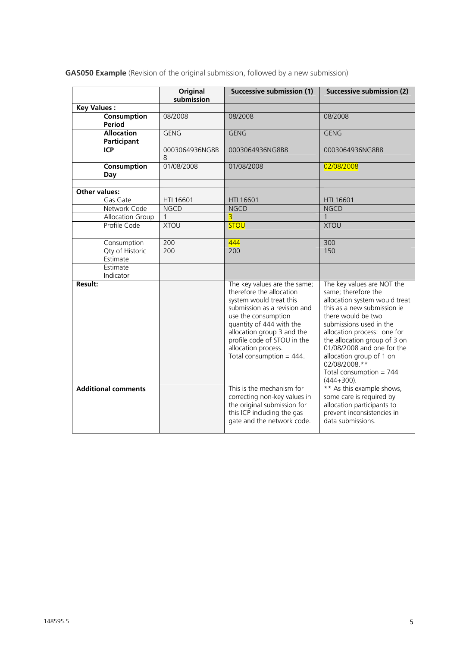|  | GAS050 Example (Revision of the original submission, followed by a new submission) |  |  |  |
|--|------------------------------------------------------------------------------------|--|--|--|

|                                  | Original            | Successive submission (1)                                                                                                                                                                                                                                                                 | Successive submission (2)                                                                                                                                                                                                                                                                                                                                 |
|----------------------------------|---------------------|-------------------------------------------------------------------------------------------------------------------------------------------------------------------------------------------------------------------------------------------------------------------------------------------|-----------------------------------------------------------------------------------------------------------------------------------------------------------------------------------------------------------------------------------------------------------------------------------------------------------------------------------------------------------|
| <b>Key Values:</b>               | submission          |                                                                                                                                                                                                                                                                                           |                                                                                                                                                                                                                                                                                                                                                           |
| Consumption                      | 08/2008             | 08/2008                                                                                                                                                                                                                                                                                   | 08/2008                                                                                                                                                                                                                                                                                                                                                   |
| Period                           |                     |                                                                                                                                                                                                                                                                                           |                                                                                                                                                                                                                                                                                                                                                           |
| <b>Allocation</b><br>Participant | <b>GENG</b>         | <b>GENG</b>                                                                                                                                                                                                                                                                               | <b>GENG</b>                                                                                                                                                                                                                                                                                                                                               |
| <b>ICP</b>                       | 0003064936NG8B<br>8 | 0003064936NG8B8                                                                                                                                                                                                                                                                           | 0003064936NG8B8                                                                                                                                                                                                                                                                                                                                           |
| Consumption<br>Day               | 01/08/2008          | 01/08/2008                                                                                                                                                                                                                                                                                | 02/08/2008                                                                                                                                                                                                                                                                                                                                                |
| Other values:                    |                     |                                                                                                                                                                                                                                                                                           |                                                                                                                                                                                                                                                                                                                                                           |
| Gas Gate                         | HTL16601            | HTL16601                                                                                                                                                                                                                                                                                  | HTL16601                                                                                                                                                                                                                                                                                                                                                  |
| Network Code                     | <b>NGCD</b>         | <b>NGCD</b>                                                                                                                                                                                                                                                                               | <b>NGCD</b>                                                                                                                                                                                                                                                                                                                                               |
| Allocation Group                 | $\mathbf{1}$        | $\overline{\mathbf{3}}$                                                                                                                                                                                                                                                                   | $\mathbf{1}$                                                                                                                                                                                                                                                                                                                                              |
| Profile Code                     | <b>XTOU</b>         | <b>STOU</b>                                                                                                                                                                                                                                                                               | <b>XTOU</b>                                                                                                                                                                                                                                                                                                                                               |
| Consumption                      | 200                 | 444                                                                                                                                                                                                                                                                                       | 300                                                                                                                                                                                                                                                                                                                                                       |
| Qty of Historic<br>Estimate      | 200                 | 200                                                                                                                                                                                                                                                                                       | 150                                                                                                                                                                                                                                                                                                                                                       |
| Estimate<br>Indicator            |                     |                                                                                                                                                                                                                                                                                           |                                                                                                                                                                                                                                                                                                                                                           |
| <b>Result:</b>                   |                     | The key values are the same;<br>therefore the allocation<br>system would treat this<br>submission as a revision and<br>use the consumption<br>quantity of 444 with the<br>allocation group 3 and the<br>profile code of STOU in the<br>allocation process.<br>Total consumption = $444$ . | The key values are NOT the<br>same; therefore the<br>allocation system would treat<br>this as a new submission je<br>there would be two<br>submissions used in the<br>allocation process: one for<br>the allocation group of 3 on<br>01/08/2008 and one for the<br>allocation group of 1 on<br>02/08/2008.**<br>Total consumption = $744$<br>$(444+300).$ |
| <b>Additional comments</b>       |                     | This is the mechanism for<br>correcting non-key values in<br>the original submission for<br>this ICP including the gas<br>gate and the network code.                                                                                                                                      | ** As this example shows,<br>some care is required by<br>allocation participants to<br>prevent inconsistencies in<br>data submissions.                                                                                                                                                                                                                    |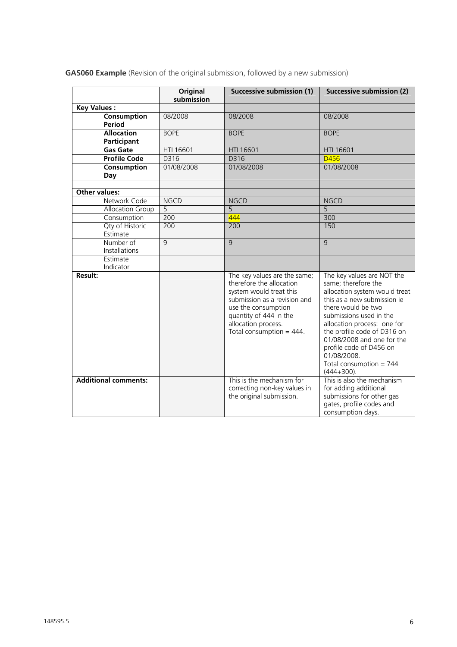|  |  | <b>GAS060 Example</b> (Revision of the original submission, followed by a new submission) |
|--|--|-------------------------------------------------------------------------------------------|

|                                  | Original<br>submission | <b>Successive submission (1)</b>                                                                                                                                                                                           | Successive submission (2)                                                                                                                                                                                                                                                                                                                              |
|----------------------------------|------------------------|----------------------------------------------------------------------------------------------------------------------------------------------------------------------------------------------------------------------------|--------------------------------------------------------------------------------------------------------------------------------------------------------------------------------------------------------------------------------------------------------------------------------------------------------------------------------------------------------|
| <b>Key Values:</b>               |                        |                                                                                                                                                                                                                            |                                                                                                                                                                                                                                                                                                                                                        |
| Consumption<br>Period            | 08/2008                | 08/2008                                                                                                                                                                                                                    | 08/2008                                                                                                                                                                                                                                                                                                                                                |
| <b>Allocation</b><br>Participant | <b>BOPE</b>            | <b>BOPE</b>                                                                                                                                                                                                                | <b>BOPE</b>                                                                                                                                                                                                                                                                                                                                            |
| <b>Gas Gate</b>                  | HTL16601               | HTL16601                                                                                                                                                                                                                   | HTL16601                                                                                                                                                                                                                                                                                                                                               |
| <b>Profile Code</b>              | D316                   | D316                                                                                                                                                                                                                       | D456                                                                                                                                                                                                                                                                                                                                                   |
| Consumption<br>Day               | 01/08/2008             | 01/08/2008                                                                                                                                                                                                                 | 01/08/2008                                                                                                                                                                                                                                                                                                                                             |
| Other values:                    |                        |                                                                                                                                                                                                                            |                                                                                                                                                                                                                                                                                                                                                        |
| Network Code                     | <b>NGCD</b>            | <b>NGCD</b>                                                                                                                                                                                                                | <b>NGCD</b>                                                                                                                                                                                                                                                                                                                                            |
| Allocation Group                 | $\overline{5}$         | 5                                                                                                                                                                                                                          | 5                                                                                                                                                                                                                                                                                                                                                      |
| Consumption                      | 200                    | 444                                                                                                                                                                                                                        | 300                                                                                                                                                                                                                                                                                                                                                    |
| Qty of Historic<br>Estimate      | 200                    | 200                                                                                                                                                                                                                        | 150                                                                                                                                                                                                                                                                                                                                                    |
| Number of<br>Installations       | $\overline{9}$         | $\overline{9}$                                                                                                                                                                                                             | 9                                                                                                                                                                                                                                                                                                                                                      |
| Estimate<br>Indicator            |                        |                                                                                                                                                                                                                            |                                                                                                                                                                                                                                                                                                                                                        |
| <b>Result:</b>                   |                        | The key values are the same;<br>therefore the allocation<br>system would treat this<br>submission as a revision and<br>use the consumption<br>quantity of 444 in the<br>allocation process.<br>Total consumption = $444$ . | The key values are NOT the<br>same; therefore the<br>allocation system would treat<br>this as a new submission ie<br>there would be two<br>submissions used in the<br>allocation process: one for<br>the profile code of D316 on<br>01/08/2008 and one for the<br>profile code of D456 on<br>01/08/2008.<br>Total consumption = $744$<br>$(444+300)$ . |
| <b>Additional comments:</b>      |                        | This is the mechanism for<br>correcting non-key values in<br>the original submission.                                                                                                                                      | This is also the mechanism<br>for adding additional<br>submissions for other gas<br>gates, profile codes and<br>consumption days.                                                                                                                                                                                                                      |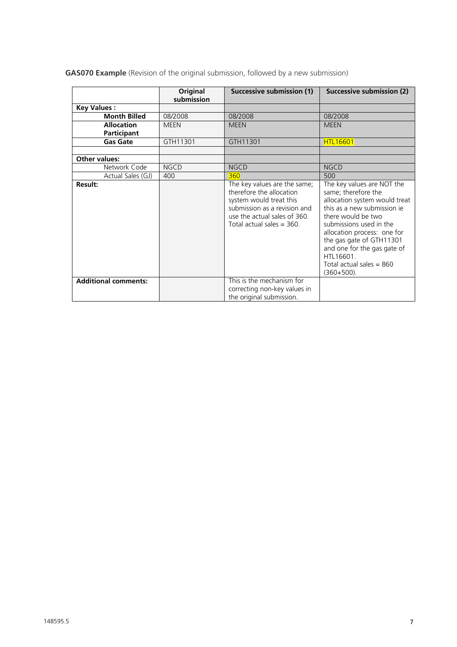**GAS070 Example** (Revision of the original submission, followed by a new submission)

|                                         | Original<br>submission | Successive submission (1)                                                                                                                                                          | Successive submission (2)                                                                                                                                                                                                                                                                                                |
|-----------------------------------------|------------------------|------------------------------------------------------------------------------------------------------------------------------------------------------------------------------------|--------------------------------------------------------------------------------------------------------------------------------------------------------------------------------------------------------------------------------------------------------------------------------------------------------------------------|
| <b>Key Values:</b>                      |                        |                                                                                                                                                                                    |                                                                                                                                                                                                                                                                                                                          |
| <b>Month Billed</b>                     | 08/2008                | 08/2008                                                                                                                                                                            | 08/2008                                                                                                                                                                                                                                                                                                                  |
| <b>Allocation</b><br><b>Participant</b> | <b>MEEN</b>            | <b>MEEN</b>                                                                                                                                                                        | <b>MEEN</b>                                                                                                                                                                                                                                                                                                              |
| <b>Gas Gate</b>                         | GTH11301               | GTH11301                                                                                                                                                                           | <b>HTL16601</b>                                                                                                                                                                                                                                                                                                          |
|                                         |                        |                                                                                                                                                                                    |                                                                                                                                                                                                                                                                                                                          |
| Other values:                           |                        |                                                                                                                                                                                    |                                                                                                                                                                                                                                                                                                                          |
| Network Code                            | <b>NGCD</b>            | <b>NGCD</b>                                                                                                                                                                        | <b>NGCD</b>                                                                                                                                                                                                                                                                                                              |
| Actual Sales (GJ)                       | 400                    | 360                                                                                                                                                                                | 500                                                                                                                                                                                                                                                                                                                      |
| Result:                                 |                        | The key values are the same;<br>therefore the allocation<br>system would treat this<br>submission as a revision and<br>use the actual sales of 360.<br>Total actual sales $=$ 360. | The key values are NOT the<br>same; therefore the<br>allocation system would treat<br>this as a new submission je<br>there would be two<br>submissions used in the<br>allocation process: one for<br>the gas gate of GTH11301<br>and one for the gas gate of<br>HTL16601.<br>Total actual sales $= 860$<br>$(360+500)$ . |
| <b>Additional comments:</b>             |                        | This is the mechanism for<br>correcting non-key values in<br>the original submission.                                                                                              |                                                                                                                                                                                                                                                                                                                          |